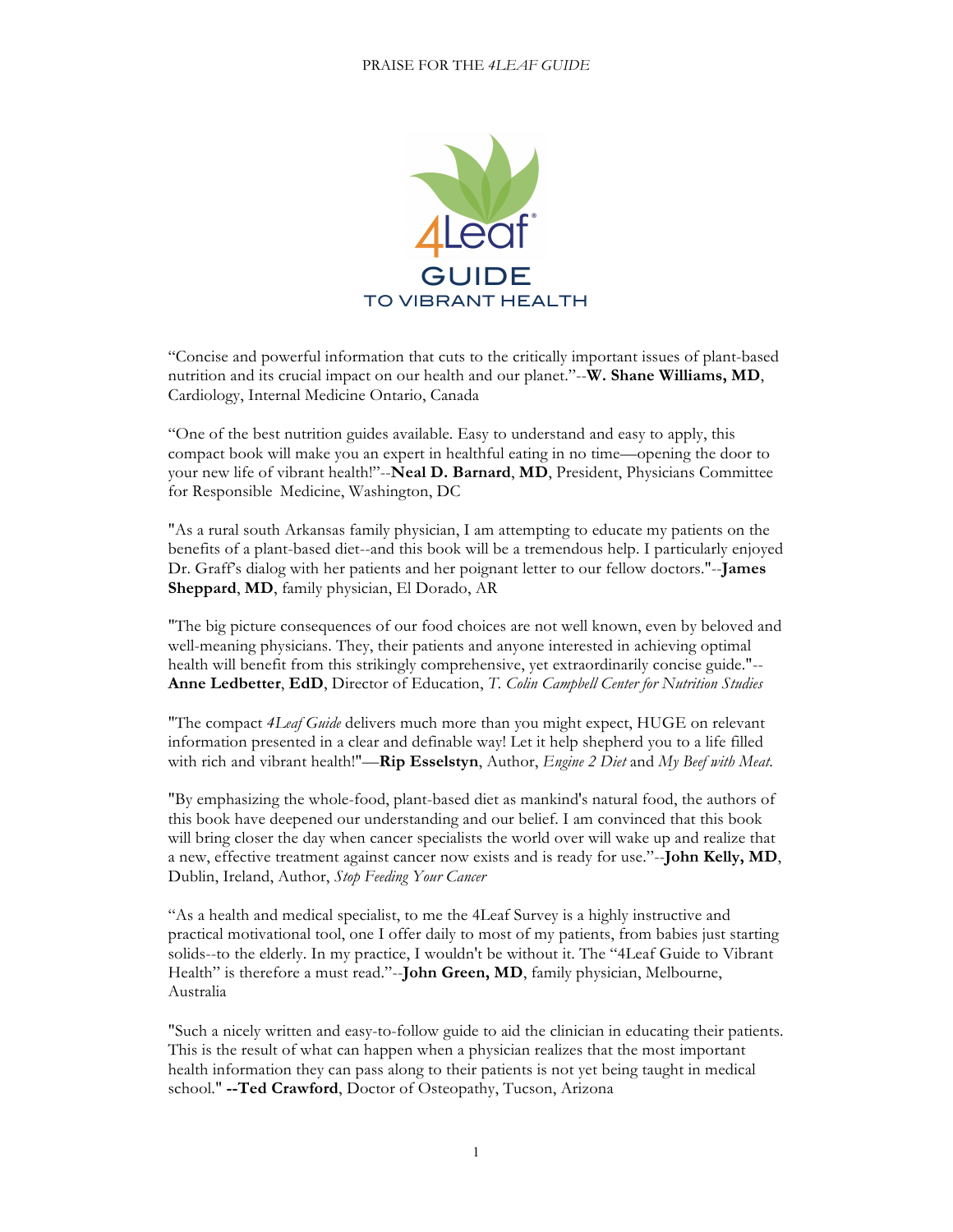

"Concise and powerful information that cuts to the critically important issues of plant-based nutrition and its crucial impact on our health and our planet."--**W. Shane Williams, MD**, Cardiology, Internal Medicine Ontario, Canada

"One of the best nutrition guides available. Easy to understand and easy to apply, this compact book will make you an expert in healthful eating in no time—opening the door to your new life of vibrant health!"--**Neal D. Barnard**, **MD**, President, Physicians Committee for Responsible Medicine, Washington, DC

"As a rural south Arkansas family physician, I am attempting to educate my patients on the benefits of a plant-based diet--and this book will be a tremendous help. I particularly enjoyed Dr. Graff's dialog with her patients and her poignant letter to our fellow doctors."--**James Sheppard**, **MD**, family physician, El Dorado, AR

"The big picture consequences of our food choices are not well known, even by beloved and well-meaning physicians. They, their patients and anyone interested in achieving optimal health will benefit from this strikingly comprehensive, yet extraordinarily concise guide."-- **Anne Ledbetter**, **EdD**, Director of Education, *T. Colin Campbell Center for Nutrition Studies*

"The compact *4Leaf Guide* delivers much more than you might expect, HUGE on relevant information presented in a clear and definable way! Let it help shepherd you to a life filled with rich and vibrant health!"—**Rip Esselstyn**, Author, *Engine 2 Diet* and *My Beef with Meat*.

"By emphasizing the whole-food, plant-based diet as mankind's natural food, the authors of this book have deepened our understanding and our belief. I am convinced that this book will bring closer the day when cancer specialists the world over will wake up and realize that a new, effective treatment against cancer now exists and is ready for use."--**John Kelly, MD**, Dublin, Ireland, Author, *Stop Feeding Your Cancer*

"As a health and medical specialist, to me the 4Leaf Survey is a highly instructive and practical motivational tool, one I offer daily to most of my patients, from babies just starting solids--to the elderly. In my practice, I wouldn't be without it. The "4Leaf Guide to Vibrant Health" is therefore a must read."--**John Green, MD**, family physician, Melbourne, Australia

"Such a nicely written and easy-to-follow guide to aid the clinician in educating their patients. This is the result of what can happen when a physician realizes that the most important health information they can pass along to their patients is not yet being taught in medical school." **--Ted Crawford**, Doctor of Osteopathy, Tucson, Arizona